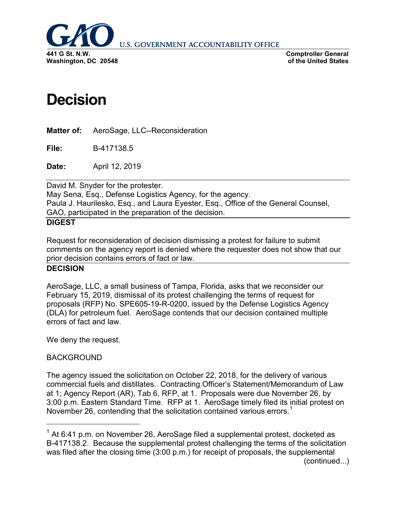

**U.S. GOVERNMENT ACCOUNTABILITY OFFICE** 

**Comptroller General of the United States**

# **Decision**

**Matter of:** AeroSage, LLC--Reconsideration

**File:** B-417138.5

**Date:** April 12, 2019

David M. Snyder for the protester.

May Sena, Esq., Defense Logistics Agency, for the agency. Paula J. Haurilesko, Esq., and Laura Eyester, Esq., Office of the General Counsel, GAO, participated in the preparation of the decision.

#### **DIGEST**

Request for reconsideration of decision dismissing a protest for failure to submit comments on the agency report is denied where the requester does not show that our prior decision contains errors of fact or law.

# **DECISION**

AeroSage, LLC, a small business of Tampa, Florida, asks that we reconsider our February 15, 2019, dismissal of its protest challenging the terms of request for proposals (RFP) No. SPE605-19-R-0200, issued by the Defense Logistics Agency (DLA) for petroleum fuel. AeroSage contends that our decision contained multiple errors of fact and law.

We deny the request.

## BACKGROUND

The agency issued the solicitation on October 22, 2018, for the delivery of various commercial fuels and distillates. Contracting Officer's Statement/Memorandum of Law at 1; Agency Report (AR), Tab 6, RFP, at 1. Proposals were due November 26, by 3:00 p.m. Eastern Standard Time. RFP at 1. AeroSage timely filed its initial protest on November 26, contending that the solicitation contained various errors.<sup>[1](#page-0-0)</sup>

<span id="page-0-0"></span> $1$  At 6:41 p.m. on November 26, AeroSage filed a supplemental protest, docketed as B-417138.2. Because the supplemental protest challenging the terms of the solicitation was filed after the closing time (3:00 p.m.) for receipt of proposals, the supplemental (continued...)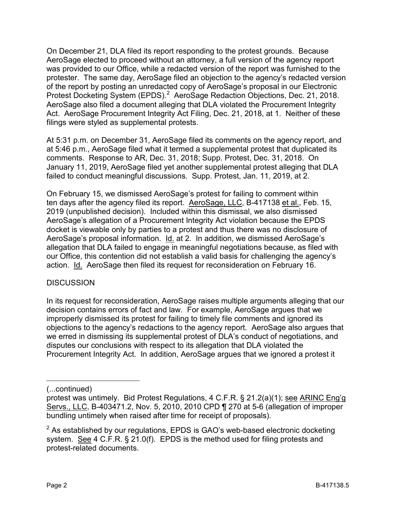On December 21, DLA filed its report responding to the protest grounds. Because AeroSage elected to proceed without an attorney, a full version of the agency report was provided to our Office, while a redacted version of the report was furnished to the protester. The same day, AeroSage filed an objection to the agency's redacted version of the report by posting an unredacted copy of AeroSage's proposal in our Electronic Protest Docketing System (EPDS).<sup>[2](#page-1-0)</sup> AeroSage Redaction Objections, Dec. 21, 2018. AeroSage also filed a document alleging that DLA violated the Procurement Integrity Act. AeroSage Procurement Integrity Act Filing, Dec. 21, 2018, at 1. Neither of these filings were styled as supplemental protests.

At 5:31 p.m. on December 31, AeroSage filed its comments on the agency report, and at 5:46 p.m., AeroSage filed what it termed a supplemental protest that duplicated its comments. Response to AR, Dec. 31, 2018; Supp. Protest, Dec. 31, 2018. On January 11, 2019, AeroSage filed yet another supplemental protest alleging that DLA failed to conduct meaningful discussions. Supp. Protest, Jan. 11, 2019, at 2.

On February 15, we dismissed AeroSage's protest for failing to comment within ten days after the agency filed its report. AeroSage, LLC, B-417138 et al., Feb. 15, 2019 (unpublished decision). Included within this dismissal, we also dismissed AeroSage's allegation of a Procurement Integrity Act violation because the EPDS docket is viewable only by parties to a protest and thus there was no disclosure of AeroSage's proposal information. Id. at 2. In addition, we dismissed AeroSage's allegation that DLA failed to engage in meaningful negotiations because, as filed with our Office, this contention did not establish a valid basis for challenging the agency's action. Id. AeroSage then filed its request for reconsideration on February 16.

## **DISCUSSION**

In its request for reconsideration, AeroSage raises multiple arguments alleging that our decision contains errors of fact and law. For example, AeroSage argues that we improperly dismissed its protest for failing to timely file comments and ignored its objections to the agency's redactions to the agency report. AeroSage also argues that we erred in dismissing its supplemental protest of DLA's conduct of negotiations, and disputes our conclusions with respect to its allegation that DLA violated the Procurement Integrity Act. In addition, AeroSage argues that we ignored a protest it

(...continued)

 $\overline{a}$ 

protest was untimely. Bid Protest Regulations, 4 C.F.R. § 21.2(a)(1); see ARINC Eng'g Servs., LLC, B-403471.2, Nov. 5, 2010, 2010 CPD ¶ 270 at 5-6 (allegation of improper bundling untimely when raised after time for receipt of proposals).

<span id="page-1-0"></span> $2$  As established by our regulations, EPDS is GAO's web-based electronic docketing system. See 4 C.F.R. § 21.0(f). EPDS is the method used for filing protests and protest-related documents.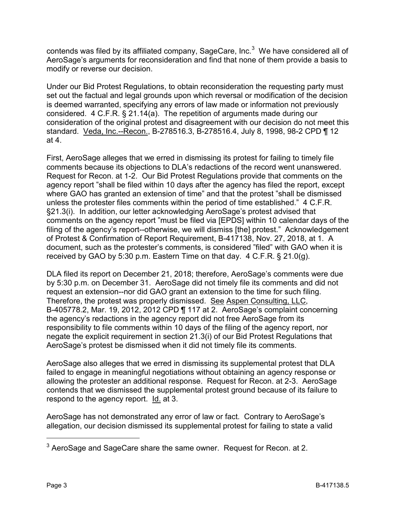contends was filed by its affiliated company, SageCare, Inc. $3$  We have considered all of AeroSage's arguments for reconsideration and find that none of them provide a basis to modify or reverse our decision.

Under our Bid Protest Regulations, to obtain reconsideration the requesting party must set out the factual and legal grounds upon which reversal or modification of the decision is deemed warranted, specifying any errors of law made or information not previously considered. 4 C.F.R. § 21.14(a). The repetition of arguments made during our consideration of the original protest and disagreement with our decision do not meet this standard. Veda, Inc.--Recon., B-278516.3, B-278516.4, July 8, 1998, 98-2 CPD ¶ 12 at 4.

First, AeroSage alleges that we erred in dismissing its protest for failing to timely file comments because its objections to DLA's redactions of the record went unanswered. Request for Recon. at 1-2. Our Bid Protest Regulations provide that comments on the agency report "shall be filed within 10 days after the agency has filed the report, except where GAO has granted an extension of time" and that the protest "shall be dismissed unless the protester files comments within the period of time established." 4 C.F.R. §21.3(i). In addition, our letter acknowledging AeroSage's protest advised that comments on the agency report "must be filed via [EPDS] within 10 calendar days of the filing of the agency's report--otherwise, we will dismiss [the] protest." Acknowledgement of Protest & Confirmation of Report Requirement, B-417138, Nov. 27, 2018, at 1. A document, such as the protester's comments, is considered "filed" with GAO when it is received by GAO by 5:30 p.m. Eastern Time on that day. 4 C.F.R. § 21.0(g).

DLA filed its report on December 21, 2018; therefore, AeroSage's comments were due by 5:30 p.m. on December 31. AeroSage did not timely file its comments and did not request an extension--nor did GAO grant an extension to the time for such filing. Therefore, the protest was properly dismissed. See Aspen Consulting, LLC, B-405778.2, Mar. 19, 2012, 2012 CPD ¶ 117 at 2. AeroSage's complaint concerning the agency's redactions in the agency report did not free AeroSage from its responsibility to file comments within 10 days of the filing of the agency report, nor negate the explicit requirement in section 21.3(i) of our Bid Protest Regulations that AeroSage's protest be dismissed when it did not timely file its comments.

AeroSage also alleges that we erred in dismissing its supplemental protest that DLA failed to engage in meaningful negotiations without obtaining an agency response or allowing the protester an additional response. Request for Recon. at 2-3. AeroSage contends that we dismissed the supplemental protest ground because of its failure to respond to the agency report. Id. at 3.

AeroSage has not demonstrated any error of law or fact. Contrary to AeroSage's allegation, our decision dismissed its supplemental protest for failing to state a valid

<span id="page-2-0"></span> $3$  AeroSage and SageCare share the same owner. Request for Recon. at 2.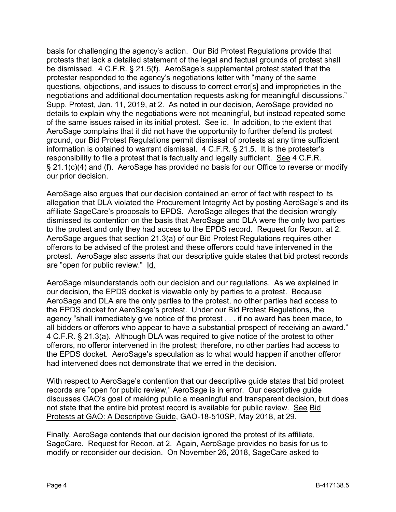basis for challenging the agency's action. Our Bid Protest Regulations provide that protests that lack a detailed statement of the legal and factual grounds of protest shall be dismissed. 4 C.F.R. § 21.5(f). AeroSage's supplemental protest stated that the protester responded to the agency's negotiations letter with "many of the same questions, objections, and issues to discuss to correct error[s] and improprieties in the negotiations and additional documentation requests asking for meaningful discussions." Supp. Protest, Jan. 11, 2019, at 2. As noted in our decision, AeroSage provided no details to explain why the negotiations were not meaningful, but instead repeated some of the same issues raised in its initial protest. See id. In addition, to the extent that AeroSage complains that it did not have the opportunity to further defend its protest ground, our Bid Protest Regulations permit dismissal of protests at any time sufficient information is obtained to warrant dismissal. 4 C.F.R. § 21.5. It is the protester's responsibility to file a protest that is factually and legally sufficient. See 4 C.F.R. § 21.1(c)(4) and (f). AeroSage has provided no basis for our Office to reverse or modify our prior decision.

AeroSage also argues that our decision contained an error of fact with respect to its allegation that DLA violated the Procurement Integrity Act by posting AeroSage's and its affiliate SageCare's proposals to EPDS. AeroSage alleges that the decision wrongly dismissed its contention on the basis that AeroSage and DLA were the only two parties to the protest and only they had access to the EPDS record. Request for Recon. at 2. AeroSage argues that section 21.3(a) of our Bid Protest Regulations requires other offerors to be advised of the protest and these offerors could have intervened in the protest. AeroSage also asserts that our descriptive guide states that bid protest records are "open for public review." Id.

AeroSage misunderstands both our decision and our regulations. As we explained in our decision, the EPDS docket is viewable only by parties to a protest. Because AeroSage and DLA are the only parties to the protest, no other parties had access to the EPDS docket for AeroSage's protest. Under our Bid Protest Regulations, the agency "shall immediately give notice of the protest . . . if no award has been made, to all bidders or offerors who appear to have a substantial prospect of receiving an award." 4 C.F.R. § 21.3(a). Although DLA was required to give notice of the protest to other offerors, no offeror intervened in the protest; therefore, no other parties had access to the EPDS docket. AeroSage's speculation as to what would happen if another offeror had intervened does not demonstrate that we erred in the decision.

With respect to AeroSage's contention that our descriptive guide states that bid protest records are "open for public review," AeroSage is in error. Our descriptive guide discusses GAO's goal of making public a meaningful and transparent decision, but does not state that the entire bid protest record is available for public review. See Bid Protests at GAO: A Descriptive Guide, GAO-18-510SP, May 2018, at 29.

Finally, AeroSage contends that our decision ignored the protest of its affiliate, SageCare. Request for Recon. at 2. Again, AeroSage provides no basis for us to modify or reconsider our decision. On November 26, 2018, SageCare asked to